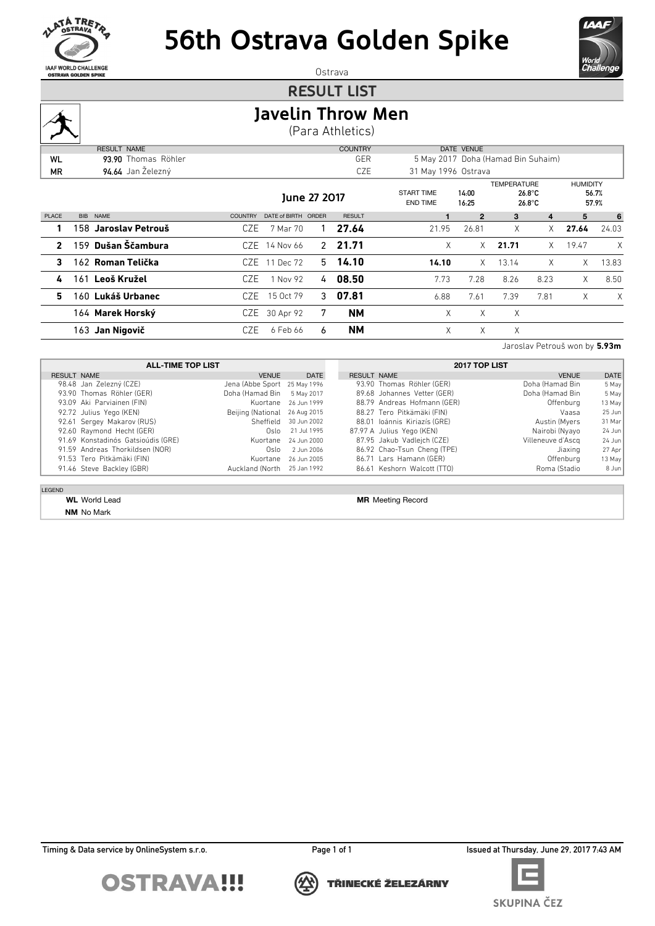

# **56th Ostrava Golden Spike**



Jaroslav Petrouš won by **5.93m**

Ostrava

#### **RESULT LIST**

### **Javelin Throw Men**

(Para Athletics)

|              | <b>RESULT NAME</b>   |                |                     |   | <b>COUNTRY</b> |                                      | DATE VENUE     |                    |                                      |                 |                |
|--------------|----------------------|----------------|---------------------|---|----------------|--------------------------------------|----------------|--------------------|--------------------------------------|-----------------|----------------|
| <b>WL</b>    | 93.90 Thomas Röhler  |                |                     |   | GER            | 5 May 2017 Doha (Hamad Bin Suhaim)   |                |                    |                                      |                 |                |
| MR.          | 94.64 Jan Železný    |                |                     |   | CZE            | 31 May 1996 Ostrava                  |                |                    |                                      |                 |                |
|              |                      |                | June 27 2017        |   |                | <b>START TIME</b><br><b>END TIME</b> | 14:00<br>16:25 | <b>TEMPERATURE</b> | $26.8^{\circ}$ C<br>$26.8^{\circ}$ C | <b>HUMIDITY</b> | 56.7%<br>57.9% |
| PLACE        | BIB NAME             | <b>COUNTRY</b> | DATE of BIRTH ORDER |   | <b>RESULT</b>  |                                      | $\mathbf{2}$   | 3                  | 4                                    | 5               | 6              |
|              | 158 Jaroslav Petrouš | CZE            | 7 Mar 70            |   | 27.64          | 21.95                                | 26.81          | X                  | X.                                   | 27.64           | 24.03          |
| $\mathbf{2}$ | 159 Dušan Ščambura   |                | CZE 14 Nov 66       |   | 2, 21.71       | X                                    | X.             | 21.71              | X                                    | 19.47           | X              |
| 3            | 162 Roman Telička    |                | CZE 11 Dec 72       |   | $5$ 14.10      | 14.10                                | $\times$       | 13.14              | X                                    | $\times$        | 13.83          |
| 4            | 161 Leoš Kružel      | CZE.           | 1 Nov 92            | 4 | 08.50          | 7.73                                 | 7.28           | 8.26               | 8.23                                 | $\times$        | 8.50           |
| 5            | 160 Lukáš Urbanec    | CZE.           | 15 Oct 79           | 3 | 07.81          | 6.88                                 | 7.61           | 7.39               | 7.81                                 | X               | X              |
|              | 164 Marek Horský     |                | CZE 30 Apr 92       | 7 | <b>NM</b>      | X                                    | X              | X                  |                                      |                 |                |
|              | 163 Jan Nigovič      | CZE            | 6 Feb 66            | 6 | <b>NM</b>      | X                                    | X              | Χ                  |                                      |                 |                |

**ALL-TIME TOP LIST** RESULT NAME DATE DATE Jena (Abbe Sport 25 May 1996 98.48 Jan Zelezný (CZE)<br>
93.90 Thomas Röhler (GER) Doha (Hamad Bin 5 May 2017 93.09 Aki Parviainen (FIN) Kuortane 26 Jun 1999 92.72 Julius Yego (KEN) Sand Beijing (National 26 Aug 2015 92.61 Sergey Makarov (RUS) Sheffield 30 Jun 2002 92.60 Raymond Hecht (GER) Oslo 21 Jul 1995 91.69 Konstadinós Gatsioúdis (GRE) Kuortane 24 Jun 2000 91.59 Andreas Thorkildsen (NOR) Oslo 2 Jun 2006 91.53 Tero Pitkämäki (FIN) Kuortane 26 Jun 2005 91.46 Steve Backley (GBR) Auckland (North 25 Jan 1992 **2017 TOP LIST** RESULT NAME **DATE** DATE OF THE VENUE DATE 93.90 Thomas Röhler (GER) Doha (Hamad Bin 5 May 89.68 Johannes Vetter (GER) Coha (Hamad Bin 5 May 88.79 Andreas Hofmann (GER) CHER CHER CHEROLOGIC 13 May 88.27 Tero Pitkämäki (FIN) vaasa 25 Jun 88.01 Ioánnis Kiriazís (GRE) Martin (Myers 31 Martin (Myers 31 Martin 1997) 87.97 A Julius Yego (KEN) Nairobi (Nyayo 24 Jun 87.95 Jakub Vadlejch (CZE) Villeneuve d'Ascq 24 Jun 86.92 Chao-Tsun Cheng (TPE) Jiaxing 27 Apr 86.71 Lars Hamann (GER) CHER CHER CHERN CHERN CHERN CHERN CHERN CHERN CHERN CHERN CHERN CHERN CHERN CHERN CHERN CHERN CHERN CHERN CHERN CHERN CHERN CHERN CHERN CHERN CHERN CHERN CHERN CHERN CHERN CHERN CHERN CHERN CHERN CH 86.61 Keshorn Walcott (TTO) Roma (Stadio 8 Jun

LEGEND

**NM** No Mark

**WL** World Lead **MR** Meeting Record

Timing & Data service by OnlineSystem s.r.o. **Page 1 of 1** Page 1 of 1 Issued at Thursday, June 29, 2017 7:43 AM







**SKUPINA ČEZ** 

TŘINECKÉ ŽELEZÁRNY